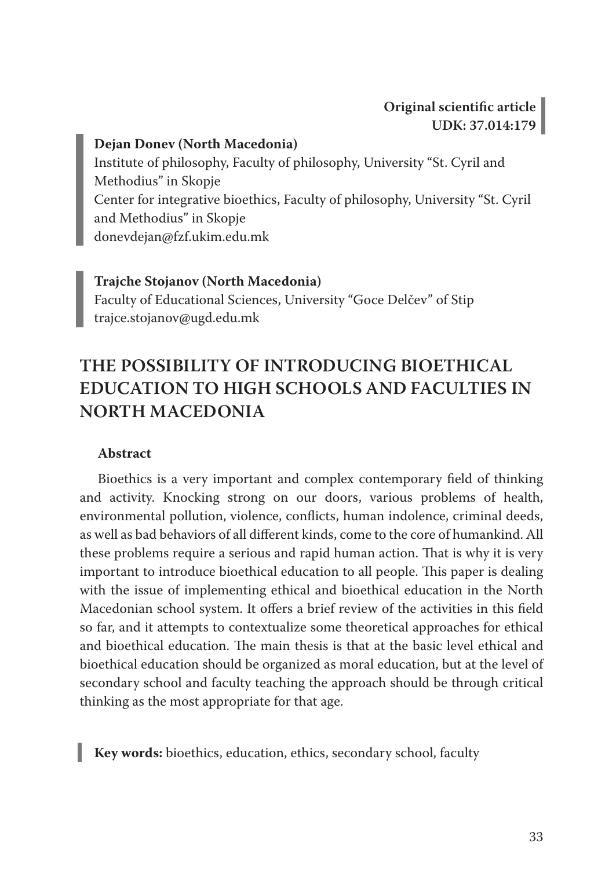#### **Dejan Donev (North Macedonia)**

Institute of philosophy, Faculty of philosophy, University "St. Cyril and Methodius" in Skopje Center for integrative bioethics, Faculty of philosophy, University "St. Cyril and Methodius" in Skopje donevdejan@fzf.ukim.edu.mk

#### **Trajche Stojanov (North Macedonia)**

Faculty of Educational Sciences, University "Goce Delčev" of Stip trajce.stojanov@ugd.edu.mk

# **THE POSSIBILITY OF INTRODUCING BIOETHICAL EDUCATION TO HIGH SCHOOLS AND FACULTIES IN NORTH MACEDONIA**

#### **Abstract**

Bioethics is a very important and complex contemporary field of thinking and activity. Knocking strong on our doors, various problems of health, environmental pollution, violence, conflicts, human indolence, criminal deeds, as well as bad behaviors of all different kinds, come to the core of humankind. All these problems require a serious and rapid human action. That is why it is very important to introduce bioethical education to all people. This paper is dealing with the issue of implementing ethical and bioethical education in the North Macedonian school system. It offers a brief review of the activities in this field so far, and it attempts to contextualize some theoretical approaches for ethical and bioethical education. The main thesis is that at the basic level ethical and bioethical education should be organized as moral education, but at the level of secondary school and faculty teaching the approach should be through critical thinking as the most appropriate for that age.

**Key words:** bioethics, education, ethics, secondary school, faculty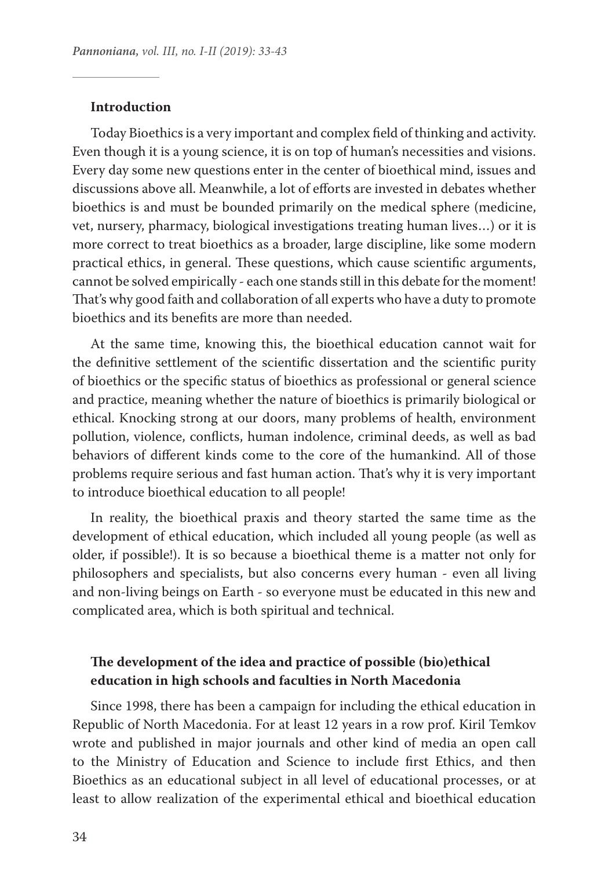#### **Introduction**

Today Bioethics is a very important and complex field of thinking and activity. Even though it is a young science, it is on top of human's necessities and visions. Every day some new questions enter in the center of bioethical mind, issues and discussions above all. Meanwhile, a lot of efforts are invested in debates whether bioethics is and must be bounded primarily on the medical sphere (medicine, vet, nursery, pharmacy, biological investigations treating human lives…) or it is more correct to treat bioethics as a broader, large discipline, like some modern practical ethics, in general. These questions, which cause scientific arguments, cannot be solved empirically - each one stands still in this debate for the moment! That's why good faith and collaboration of all experts who have a duty to promote bioethics and its benefits are more than needed.

At the same time, knowing this, the bioethical education cannot wait for the definitive settlement of the scientific dissertation and the scientific purity of bioethics or the specific status of bioethics as professional or general science and practice, meaning whether the nature of bioethics is primarily biological or ethical. Knocking strong at our doors, many problems of health, environment pollution, violence, conflicts, human indolence, criminal deeds, as well as bad behaviors of different kinds come to the core of the humankind. All of those problems require serious and fast human action. That's why it is very important to introduce bioethical education to all people!

In reality, the bioethical praxis and theory started the same time as the development of ethical education, which included all young people (as well as older, if possible!). It is so because a bioethical theme is a matter not only for philosophers and specialists, but also concerns every human - even all living and non-living beings on Earth - so everyone must be educated in this new and complicated area, which is both spiritual and technical.

# **The development of the idea and practice of possible (bio)ethical education in high schools and faculties in North Macedonia**

Since 1998, there has been a campaign for including the ethical education in Republic of North Macedonia. For at least 12 years in a row prof. Kiril Temkov wrote and published in major journals and other kind of media an open call to the Ministry of Education and Science to include first Ethics, and then Bioethics as an educational subject in all level of educational processes, or at least to allow realization of the experimental ethical and bioethical education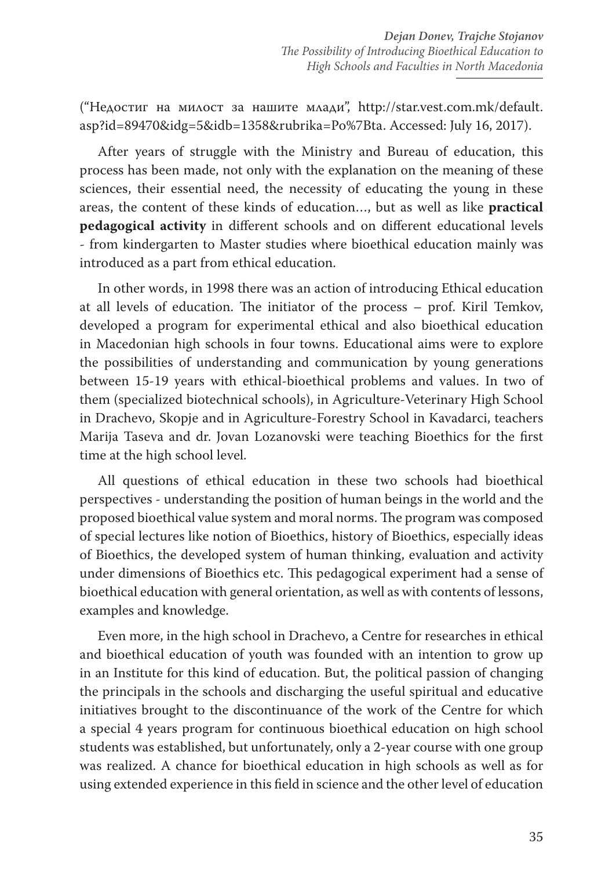("Недостиг на милост за нашите млади", http://star.vest.com.mk/default. asp?id=89470&idg=5&idb=1358&rubrika=Po%7Bta. Accessed: July 16, 2017).

After years of struggle with the Ministry and Bureau of education, this process has been made, not only with the explanation on the meaning of these sciences, their essential need, the necessity of educating the young in these areas, the content of these kinds of education…, but as well as like **practical pedagogical activity** in different schools and on different educational levels - from kindergarten to Master studies where bioethical education mainly was introduced as a part from ethical education.

In other words, in 1998 there was an action of introducing Ethical education at all levels of education. The initiator of the process – prof. Kiril Temkov, developed a program for experimental ethical and also bioethical education in Macedonian high schools in four towns. Educational aims were to explore the possibilities of understanding and communication by young generations between 15-19 years with ethical-bioethical problems and values. In two of them (specialized biotechnical schools), in Agriculture-Veterinary High School in Drachevo, Skopje and in Agriculture-Forestry School in Kavadarci, teachers Marija Taseva and dr. Jovan Lozanovski were teaching Bioethics for the first time at the high school level.

All questions of ethical education in these two schools had bioethical perspectives - understanding the position of human beings in the world and the proposed bioethical value system and moral norms. The program was composed of special lectures like notion of Bioethics, history of Bioethics, especially ideas of Bioethics, the developed system of human thinking, evaluation and activity under dimensions of Bioethics etc. This pedagogical experiment had a sense of bioethical education with general orientation, as well as with contents of lessons, examples and knowledge.

Even more, in the high school in Drachevo, a Centre for researches in ethical and bioethical education of youth was founded with an intention to grow up in an Institute for this kind of education. But, the political passion of changing the principals in the schools and discharging the useful spiritual and educative initiatives brought to the discontinuance of the work of the Centre for which a special 4 years program for continuous bioethical education on high school students was established, but unfortunately, only a 2-year course with one group was realized. A chance for bioethical education in high schools as well as for using extended experience in this field in science and the other level of education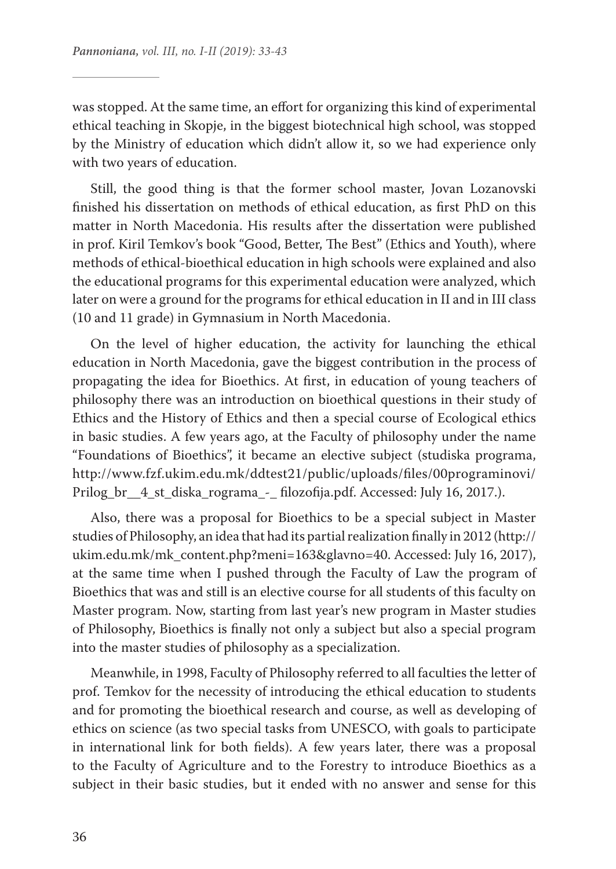was stopped. At the same time, an effort for organizing this kind of experimental ethical teaching in Skopje, in the biggest biotechnical high school, was stopped by the Ministry of education which didn't allow it, so we had experience only with two years of education.

Still, the good thing is that the former school master, Jovan Lozanovski finished his dissertation on methods of ethical education, as first PhD on this matter in North Macedonia. His results after the dissertation were published in prof. Kiril Temkov's book "Good, Better, The Best" (Ethics and Youth), where methods of ethical-bioethical education in high schools were explained and also the educational programs for this experimental education were analyzed, which later on were a ground for the programs for ethical education in II and in III class (10 and 11 grade) in Gymnasium in North Macedonia.

On the level of higher education, the activity for launching the ethical education in North Macedonia, gave the biggest contribution in the process of propagating the idea for Bioethics. At first, in education of young teachers of philosophy there was an introduction on bioethical questions in their study of Ethics and the History of Ethics and then a special course of Ecological ethics in basic studies. A few years ago, at the Faculty of philosophy under the name "Foundations of Bioethics", it became an elective subject (studiska programa, http://www.fzf.ukim.edu.mk/ddtest21/public/uploads/files/00programinovi/ Prilog\_br\_\_4\_st\_diska\_rograma\_-\_ filozofija.pdf. Accessed: July 16, 2017.).

Also, there was a proposal for Bioethics to be a special subject in Master studies of Philosophy, an idea that had its partial realization finally in 2012 (http:// ukim.edu.mk/mk\_content.php?meni=163&glavno=40. Accessed: July 16, 2017), at the same time when I pushed through the Faculty of Law the program of Bioethics that was and still is an elective course for all students of this faculty on Master program. Now, starting from last year's new program in Master studies of Philosophy, Bioethics is finally not only a subject but also a special program into the master studies of philosophy as a specialization.

Meanwhile, in 1998, Faculty of Philosophy referred to all faculties the letter of prof. Temkov for the necessity of introducing the ethical education to students and for promoting the bioethical research and course, as well as developing of ethics on science (as two special tasks from UNESCO, with goals to participate in international link for both fields). A few years later, there was a proposal to the Faculty of Agriculture and to the Forestry to introduce Bioethics as a subject in their basic studies, but it ended with no answer and sense for this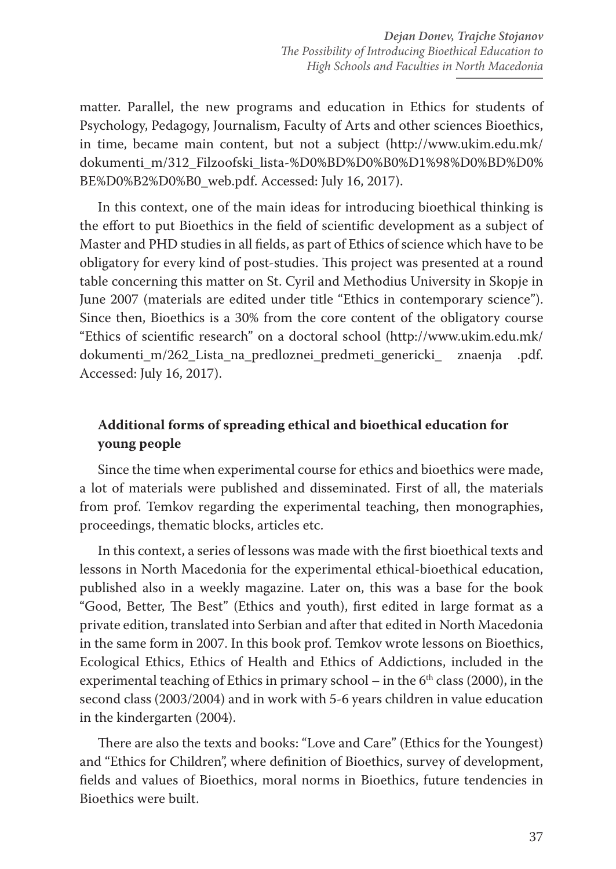matter. Parallel, the new programs and education in Ethics for students of Psychology, Pedagogy, Journalism, Faculty of Arts and other sciences Bioethics, in time, became main content, but not a subject (http://www.ukim.edu.mk/ dokumenti\_m/312\_Filzoofski\_lista-%D0%BD%D0%B0%D1%98%D0%BD%D0% BE%D0%B2%D0%B0\_web.pdf. Accessed: July 16, 2017).

In this context, one of the main ideas for introducing bioethical thinking is the effort to put Bioethics in the field of scientific development as a subject of Master and PHD studies in all fields, as part of Ethics of science which have to be obligatory for every kind of post-studies. This project was presented at a round table concerning this matter on St. Cyril and Methodius University in Skopje in June 2007 (materials are edited under title "Ethics in contemporary science"). Since then, Bioethics is a 30% from the core content of the obligatory course "Ethics of scientific research" on a doctoral school (http://www.ukim.edu.mk/ dokumenti\_m/262\_Lista\_na\_predloznei\_predmeti\_genericki\_ znaenja .pdf. Accessed: July 16, 2017).

# **Additional forms of spreading ethical and bioethical education for young people**

Since the time when experimental course for ethics and bioethics were made, a lot of materials were published and disseminated. First of all, the materials from prof. Temkov regarding the experimental teaching, then monographies, proceedings, thematic blocks, articles etc.

In this context, a series of lessons was made with the first bioethical texts and lessons in North Macedonia for the experimental ethical-bioethical education, published also in a weekly magazine. Later on, this was a base for the book "Good, Better, The Best" (Ethics and youth), first edited in large format as a private edition, translated into Serbian and after that edited in North Macedonia in the same form in 2007. In this book prof. Temkov wrote lessons on Bioethics, Ecological Ethics, Ethics of Health and Ethics of Addictions, included in the experimental teaching of Ethics in primary school – in the  $6<sup>th</sup>$  class (2000), in the second class (2003/2004) and in work with 5-6 years children in value education in the kindergarten (2004).

There are also the texts and books: "Love and Care" (Ethics for the Youngest) and "Ethics for Children", where definition of Bioethics, survey of development, fields and values of Bioethics, moral norms in Bioethics, future tendencies in Bioethics were built.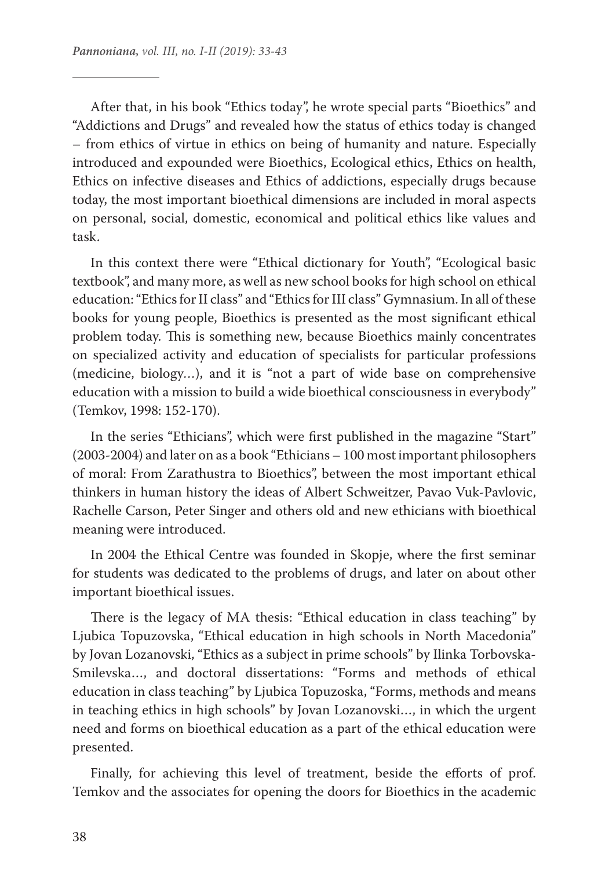After that, in his book "Ethics today", he wrote special parts "Bioethics" and "Addictions and Drugs" and revealed how the status of ethics today is changed – from ethics of virtue in ethics on being of humanity and nature. Especially introduced and expounded were Bioethics, Ecological ethics, Ethics on health, Ethics on infective diseases and Ethics of addictions, especially drugs because today, the most important bioethical dimensions are included in moral aspects on personal, social, domestic, economical and political ethics like values and task.

In this context there were "Ethical dictionary for Youth", "Ecological basic textbook", and many more, as well as new school books for high school on ethical education: "Ethics for II class" and "Ethics for III class" Gymnasium. In all of these books for young people, Bioethics is presented as the most significant ethical problem today. This is something new, because Bioethics mainly concentrates on specialized activity and education of specialists for particular professions (medicine, biology…), and it is "not a part of wide base on comprehensive education with a mission to build a wide bioethical consciousness in everybody" (Temkov, 1998: 152-170).

In the series "Ethicians", which were first published in the magazine "Start" (2003-2004) and later on as a book "Ethicians – 100 most important philosophers of moral: From Zarathustra to Bioethics", between the most important ethical thinkers in human history the ideas of Albert Schweitzer, Pavao Vuk-Pavlovic, Rachelle Carson, Peter Singer and others old and new ethicians with bioethical meaning were introduced.

In 2004 the Ethical Centre was founded in Skopje, where the first seminar for students was dedicated to the problems of drugs, and later on about other important bioethical issues.

There is the legacy of MA thesis: "Ethical education in class teaching" by Ljubica Topuzovska, "Ethical education in high schools in North Macedonia" by Jovan Lozanovski, "Ethics as a subject in prime schools" by Ilinka Torbovska-Smilevska…, and doctoral dissertations: "Forms and methods of ethical education in class teaching" by Ljubica Topuzoska, "Forms, methods and means in teaching ethics in high schools" by Jovan Lozanovski…, in which the urgent need and forms on bioethical education as a part of the ethical education were presented.

Finally, for achieving this level of treatment, beside the efforts of prof. Temkov and the associates for opening the doors for Bioethics in the academic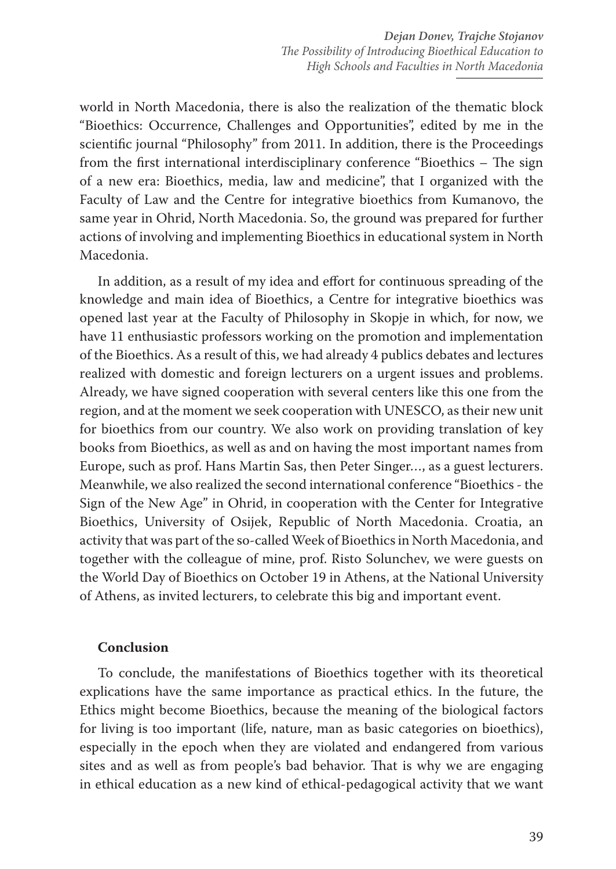world in North Macedonia, there is also the realization of the thematic block "Bioethics: Occurrence, Challenges and Opportunities", edited by me in the scientific journal "Philosophy" from 2011. In addition, there is the Proceedings from the first international interdisciplinary conference "Bioethics – The sign of a new era: Bioethics, media, law and medicine", that I organized with the Faculty of Law and the Centre for integrative bioethics from Kumanovo, the same year in Ohrid, North Macedonia. So, the ground was prepared for further actions of involving and implementing Bioethics in educational system in North Macedonia.

In addition, as a result of my idea and effort for continuous spreading of the knowledge and main idea of Bioethics, a Centre for integrative bioethics was opened last year at the Faculty of Philosophy in Skopje in which, for now, we have 11 enthusiastic professors working on the promotion and implementation of the Bioethics. As a result of this, we had already 4 publics debates and lectures realized with domestic and foreign lecturers on a urgent issues and problems. Already, we have signed cooperation with several centers like this one from the region, and at the moment we seek cooperation with UNESCO, as their new unit for bioethics from our country. We also work on providing translation of key books from Bioethics, as well as and on having the most important names from Europe, such as prof. Hans Martin Sas, then Peter Singer…, as a guest lecturers. Meanwhile, we also realized the second international conference "Bioethics - the Sign of the New Age" in Ohrid, in cooperation with the Center for Integrative Bioethics, University of Osijek, Republic of North Macedonia. Croatia, an activity that was part of the so-called Week of Bioethics in North Macedonia, and together with the colleague of mine, prof. Risto Solunchev, we were guests on the World Day of Bioethics on October 19 in Athens, at the National University of Athens, as invited lecturers, to celebrate this big and important event.

#### **Conclusion**

To conclude, the manifestations of Bioethics together with its theoretical explications have the same importance as practical ethics. In the future, the Ethics might become Bioethics, because the meaning of the biological factors for living is too important (life, nature, man as basic categories on bioethics), еspecially in the epoch when they are violated and endangered from various sites and as well as from people's bad behavior. That is why we are engaging in ethical education as a new kind of ethical-pedagogical activity that we want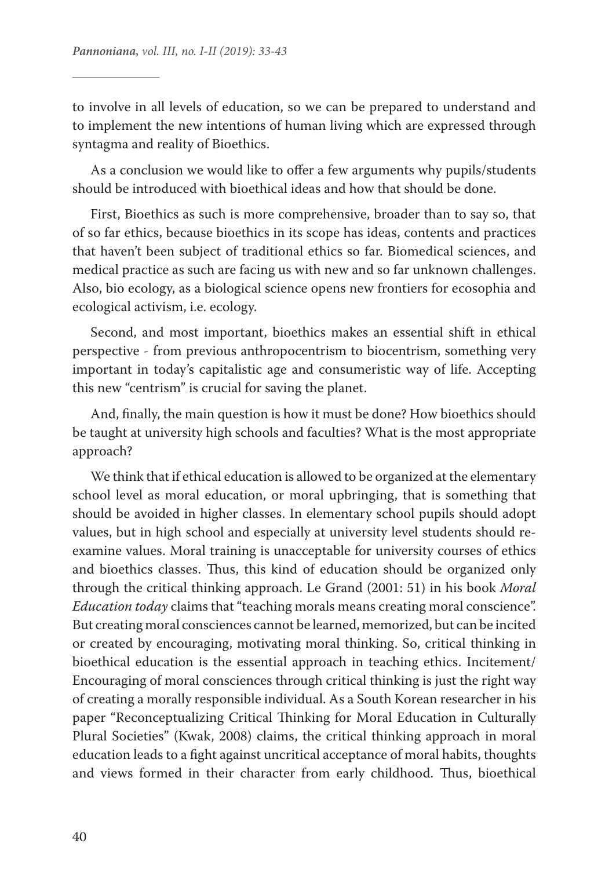to involve in all levels of education, so we can be prepared to understand and to implement the new intentions of human living which are expressed through syntagma and reality of Bioethics.

As a conclusion we would like to offer a few arguments why pupils/students should be introduced with bioethical ideas and how that should be done.

First, Bioethics as such is more comprehensive, broader than to say so, that of so far ethics, because bioethics in its scope has ideas, contents and practices that haven't been subject of traditional ethics so far. Biomedical sciences, and medical practice as such are facing us with new and so far unknown challenges. Also, bio ecology, as a biological science opens new frontiers for ecosophia and ecological activism, i.e. ecology.

Second, and most important, bioethics makes an essential shift in ethical perspective - from previous anthropocentrism to biocentrism, something very important in today's capitalistic age and consumeristic way of life. Accepting this new "centrism" is crucial for saving the planet.

And, finally, the main question is how it must be done? How bioethics should be taught at university high schools and faculties? What is the most appropriate approach?

We think that if ethical education is allowed to be organized at the elementary school level as moral education, or moral upbringing, that is something that should be avoided in higher classes. In elementary school pupils should adopt values, but in high school and especially at university level students should reexamine values. Moral training is unacceptable for university courses of ethics and bioethics classes. Thus, this kind of education should be organized only through the critical thinking approach. Le Grand (2001: 51) in his book *Moral Education today* claims that "teaching morals means creating moral conscience". But creating moral consciences cannot be learned, memorized, but can be incited or created by encouraging, motivating moral thinking. So, critical thinking in bioethical education is the essential approach in teaching ethics. Incitement/ Encouraging of moral consciences through critical thinking is just the right way of creating a morally responsible individual. As a South Korean researcher in his paper "Reconceptualizing Critical Thinking for Moral Education in Culturally Plural Societies" (Kwak, 2008) claims, the critical thinking approach in moral education leads to a fight against uncritical acceptance of moral habits, thoughts and views formed in their character from early childhood. Thus, bioethical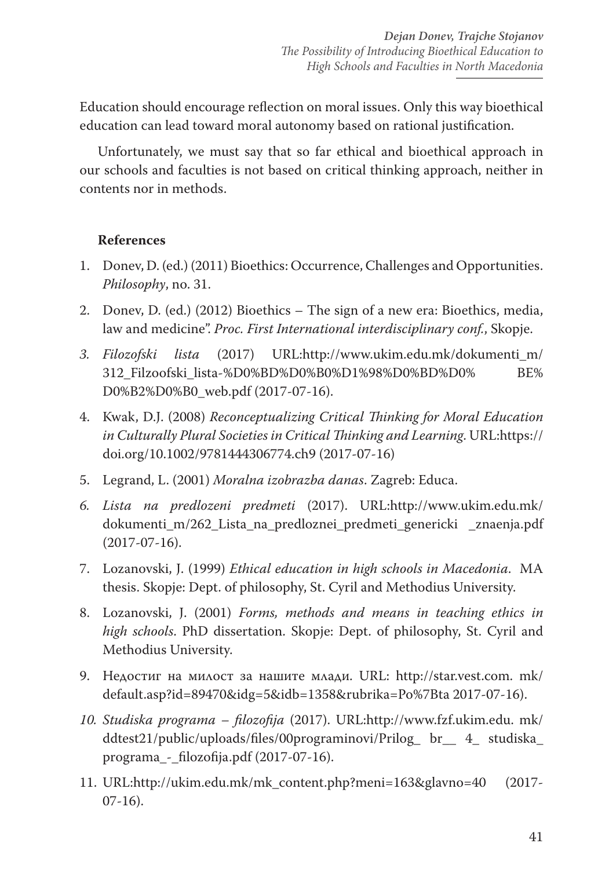Education should encourage reflection on moral issues. Only this way bioethical education can lead toward moral autonomy based on rational justification.

Unfortunately, we must say that so far ethical and bioethical approach in our schools and faculties is not based on critical thinking approach, neither in contents nor in methods.

## **References**

- 1. Donev, D. (ed.) (2011) Bioethics: Occurrence, Challenges and Opportunities. *Philosophy*, no. 31.
- 2. Donev, D. (ed.) (2012) Bioethics The sign of a new era: Bioethics, media, law and medicine". *Proc. First International interdisciplinary conf.*, Skopje.
- *3. Filozofski lista* (2017) URL:http://www.ukim.edu.mk/dokumenti\_m/ 312\_Filzoofski\_lista-%D0%BD%D0%B0%D1%98%D0%BD%D0% BE% D0%B2%D0%B0\_web.pdf (2017-07-16).
- 4. Kwak, D.J. (2008) *Reconceptualizing Critical Thinking for Moral Education in Culturally Plural Societies in Critical Thinking and Learning*. URL:https:// doi.org/10.1002/9781444306774.ch9 (2017-07-16)
- 5. Legrand, L. (2001) *Moralna izobrazba danas*. Zagreb: Educa.
- *6. Lista na predlozeni predmeti* (2017). URL:http://www.ukim.edu.mk/ dokumenti\_m/262\_Lista\_na\_predloznei\_predmeti\_genericki \_znaenja.pdf (2017-07-16).
- 7. Lozanovski, J. (1999) *Ethical education in high schools in Macedonia*. MA thesis. Skopje: Dept. of philosophy, St. Cyril and Methodius University.
- 8. Lozanovski, J. (2001) *Forms, methods and means in teaching ethics in high schools*. PhD dissertation. Skopje: Dept. of philosophy, St. Cyril and Methodius University.
- 9. Недостиг на милост за нашите млади. URL: http://star.vest.com. mk/ default.asp?id=89470&idg=5&idb=1358&rubrika=Po%7Bta 2017-07-16).
- *10. Studiska programa filozofija* (2017). URL:http://www.fzf.ukim.edu. mk/ ddtest21/public/uploads/files/00programinovi/Prilog\_ br\_\_ 4\_ studiska\_ programa\_-\_filozofija.pdf (2017-07-16).
- 11. URL:http://ukim.edu.mk/mk\_content.php?meni=163&glavno=40 (2017- 07-16).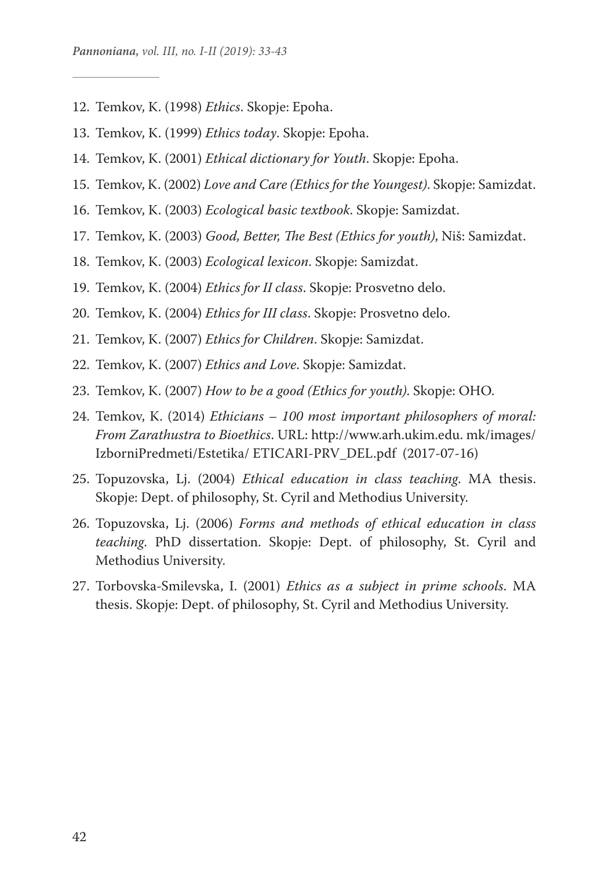- 12. Temkov, K. (1998) *Ethics*. Skopje: Epoha.
- 13. Temkov, K. (1999) *Ethics today*. Skopje: Epoha.
- 14. Temkov, K. (2001) *Ethical dictionary for Youth*. Skopje: Epoha.
- 15. Temkov, K. (2002) *Love and Care (Ethics for the Youngest)*. Skopje: Samizdat.
- 16. Temkov, K. (2003) *Ecological basic textbook*. Skopje: Samizdat.
- 17. Temkov, K. (2003) *Good, Better, The Best (Ethics for youth)*, Niš: Samizdat.
- 18. Temkov, K. (2003) *Ecological lexicon*. Skopje: Samizdat.
- 19. Temkov, K. (2004) *Ethics for II class*. Skopje: Prosvetno delo.
- 20. Temkov, K. (2004) *Ethics for III class*. Skopje: Prosvetno delo.
- 21. Temkov, K. (2007) *Ethics for Children*. Skopje: Samizdat.
- 22. Temkov, K. (2007) *Ethics and Love*. Skopje: Samizdat.
- 23. Temkov, K. (2007) *How to be a good (Ethics for youth)*. Skopje: OHO.
- 24. Temkov, K. (2014) *Ethicians 100 most important philosophers of moral: From Zarathustra to Bioethics*. URL: http://www.arh.ukim.edu. mk/images/ IzborniPredmeti/Estetika/ ETICARI-PRV\_DEL.pdf (2017-07-16)
- 25. Topuzovska, Lj. (2004) *Ethical education in class teaching*. MA thesis. Skopje: Dept. of philosophy, St. Cyril and Methodius University.
- 26. Topuzovska, Lj. (2006) *Forms and methods of ethical education in class teaching*. PhD dissertation. Skopje: Dept. of philosophy, St. Cyril and Methodius University.
- 27. Torbovska-Smilevska, I. (2001) *Ethics as a subject in prime schools*. MA thesis. Skopje: Dept. of philosophy, St. Cyril and Methodius University.